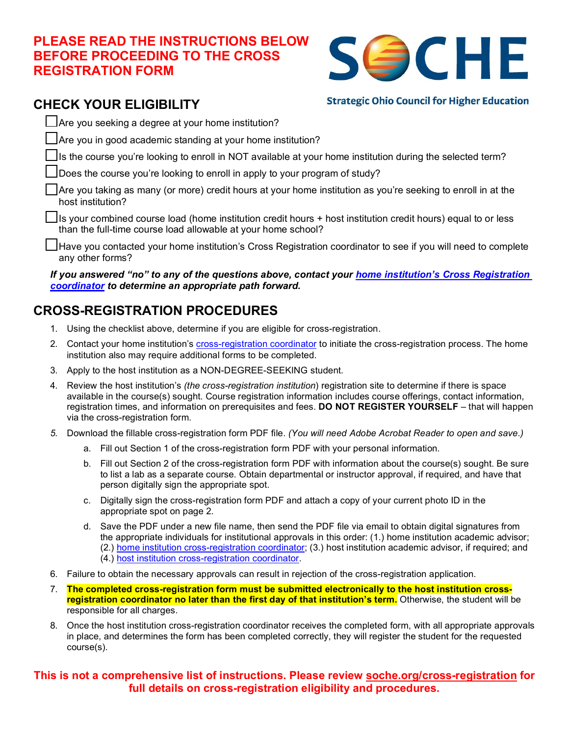### **PLEASE READ THE INSTRUCTIONS BELOW BEFORE PROCEEDING TO THE CROSS REGISTRATION FORM**



## **CHECK YOUR ELIGIBILITY**

**Strategic Ohio Council for Higher Education** 

 $\Box$  Are you seeking a degree at your home institution?

Are you in good academic standing at your home institution?

Its the course you're looking to enroll in NOT available at your home institution during the selected term?

Does the course you're looking to enroll in apply to your program of study?

Are you taking as many (or more) credit hours at your home institution as you're seeking to enroll in at the host institution?

Is your combined course load (home institution credit hours + host institution credit hours) equal to or less than the full-time course load allowable at your home school?

Have you contacted your home institution's Cross Registration coordinator to see if you will need to complete any other forms?

*If you answered "no" to any of the questions above, contact your [home institution's Cross Registration](https://www.soche.org/cross-registration/#Directory)  [coordinator](https://www.soche.org/cross-registration/#Directory) to determine an appropriate path forward.* 

# **CROSS-REGISTRATION PROCEDURES**

- 1. Using the checklist above, determine if you are eligible for cross-registration.
- 2. Contact your home institution's [cross-registration coordinator](https://www.soche.org/cross-registration/#Directory) to initiate the cross-registration process. The home institution also may require additional forms to be completed.
- 3. Apply to the host institution as a NON-DEGREE-SEEKING student.
- 4. Review the host institution's *(the cross-registration institution*) registration site to determine if there is space available in the course(s) sought. Course registration information includes course offerings, contact information, registration times, and information on prerequisites and fees. **DO NOT REGISTER YOURSELF** – that will happen via the cross-registration form.
- *5.* Download the fillable cross-registration form PDF file. *(You will need Adobe Acrobat Reader to open and save.)*
	- a. Fill out Section 1 of the cross-registration form PDF with your personal information.
	- b. Fill out Section 2 of the cross-registration form PDF with information about the course(s) sought. Be sure to list a lab as a separate course. Obtain departmental or instructor approval, if required, and have that person digitally sign the appropriate spot.
	- c. Digitally sign the cross-registration form PDF and attach a copy of your current photo ID in the appropriate spot on page 2.
	- d. Save the PDF under a new file name, then send the PDF file via email to obtain digital signatures from the appropriate individuals for institutional approvals in this order: (1.) home institution academic advisor; (2.) [home institution cross-registration coordinator;](https://www.soche.org/cross-registration/#Directory) (3.) host institution academic advisor, if required; and (4.) [host institution cross-registration coordinator.](https://www.soche.org/cross-registration/#Directory)
- 6. Failure to obtain the necessary approvals can result in rejection of the cross-registration application.
- 7. **The completed cross-registration form must be submitted electronically to the host institution crossregistration coordinator no later than the first day of that institution's term.** Otherwise, the student will be responsible for all charges.
- 8. Once the host institution cross-registration coordinator receives the completed form, with all appropriate approvals in place, and determines the form has been completed correctly, they will register the student for the requested course(s).

#### **This is not a comprehensive list of instructions. Please review [soche.org/cross-registration](https://www.soche.org/cross-registration/) for full details on cross-registration eligibility and procedures.**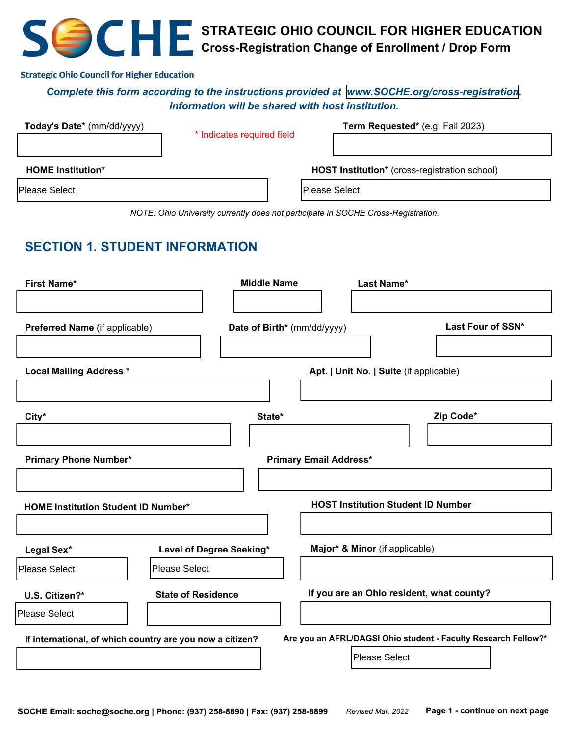# **STRATEGIC OHIO COUNCIL FOR HIGHER EDUCATION Cross-Registration Change of Enrollment / Drop Form**

#### **Strategic Ohio Council for Higher Education**

#### *Complete this form according to the instructions provided at [www.SOCHE.org/cross-registration](http://www.SOCHE.org/cross-registration). Information will be shared with host institution.*

| Today's Date* (mm/dd/yyyy) |                            | Term Requested* (e.g. Fall 2023)              |  |  |
|----------------------------|----------------------------|-----------------------------------------------|--|--|
|                            | * Indicates required field |                                               |  |  |
| <b>HOME Institution*</b>   |                            | HOST Institution* (cross-registration school) |  |  |
| <b>Please Select</b>       |                            | Please Select                                 |  |  |

*NOTE: Ohio University currently does not participate in SOCHE Cross-Registration.*

## **SECTION 1. STUDENT INFORMATION**

| <b>First Name*</b>                                        | <b>Middle Name</b>        |                               | Last Name*                                |                                                                |
|-----------------------------------------------------------|---------------------------|-------------------------------|-------------------------------------------|----------------------------------------------------------------|
|                                                           |                           |                               |                                           |                                                                |
| Preferred Name (if applicable)                            |                           | Date of Birth* (mm/dd/yyyy)   |                                           | Last Four of SSN*                                              |
|                                                           |                           |                               |                                           |                                                                |
| <b>Local Mailing Address *</b>                            |                           |                               | Apt.   Unit No.   Suite (if applicable)   |                                                                |
|                                                           |                           |                               |                                           |                                                                |
| City*                                                     | State*                    |                               |                                           | Zip Code*                                                      |
|                                                           |                           |                               |                                           |                                                                |
| <b>Primary Phone Number*</b>                              |                           | <b>Primary Email Address*</b> |                                           |                                                                |
|                                                           |                           |                               |                                           |                                                                |
| <b>HOME Institution Student ID Number*</b>                |                           |                               | <b>HOST Institution Student ID Number</b> |                                                                |
|                                                           |                           |                               |                                           |                                                                |
| Legal Sex*                                                | Level of Degree Seeking*  |                               | Major* & Minor (if applicable)            |                                                                |
| <b>Please Select</b>                                      | <b>Please Select</b>      |                               |                                           |                                                                |
| U.S. Citizen?*                                            | <b>State of Residence</b> |                               | If you are an Ohio resident, what county? |                                                                |
| Please Select                                             |                           |                               |                                           |                                                                |
| If international, of which country are you now a citizen? |                           |                               |                                           | Are you an AFRL/DAGSI Ohio student - Faculty Research Fellow?* |
|                                                           |                           |                               | Please Select                             |                                                                |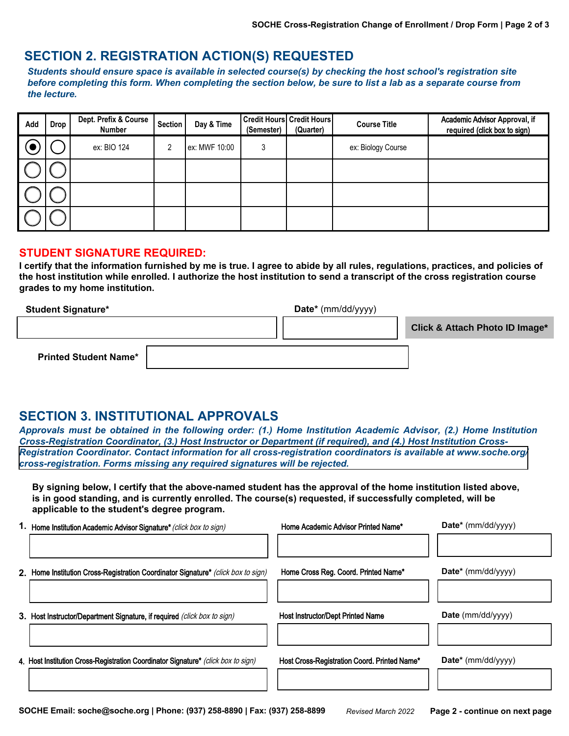#### **SECTION 2. REGISTRATION ACTION(S) REQUESTED**

*Students should ensure space is available in selected course(s) by checking the host school's registration site before completing this form. When completing the section below, be sure to list a lab as a separate course from the lecture.*

| Add | <b>Drop</b> | Dept. Prefix & Course<br><b>Number</b> | <b>Section</b> | Day & Time    | (Semester) | <b>Credit Hours Credit Hours</b><br>(Quarter) | <b>Course Title</b> | Academic Advisor Approval, if<br>required (click box to sign) |
|-----|-------------|----------------------------------------|----------------|---------------|------------|-----------------------------------------------|---------------------|---------------------------------------------------------------|
|     |             | ex: BIO 124                            |                | ex: MWF 10:00 | 3          |                                               | ex: Biology Course  |                                                               |
|     |             |                                        |                |               |            |                                               |                     |                                                               |
|     |             |                                        |                |               |            |                                               |                     |                                                               |
|     |             |                                        |                |               |            |                                               |                     |                                                               |

#### **STUDENT SIGNATURE REQUIRED:**

**I certify that the information furnished by me is true. I agree to abide by all rules, regulations, practices, and policies of the host institution while enrolled. I authorize the host institution to send a transcript of the cross registration course grades to my home institution.**

| <b>Student Signature*</b>    | Date* (mm/dd/yyyy) |                                |
|------------------------------|--------------------|--------------------------------|
|                              |                    | Click & Attach Photo ID Image* |
| <b>Printed Student Name*</b> |                    |                                |

### **SECTION 3. INSTITUTIONAL APPROVALS**

*Approvals must be obtained in the following order: (1.) Home Institution Academic Advisor, (2.) Home Institution Cross-Registration Coordinator, (3.) Host Instructor or Department (if required), and (4.) Host Institution Cross-[Registration Coordinator. Contact information for all cross-registration coordinators is available at www.soche.org/](https://www.soche.org/cross-registration/) cross-registration. Forms missing any required signatures will be rejected.*

**By signing below, I certify that the above-named student has the approval of the home institution listed above, is in good standing, and is currently enrolled. The course(s) requested, if successfully completed, will be applicable to the student's degree program.**

| 1.      | Home Institution Academic Advisor Signature* (click box to sign)                  | Home Academic Advisor Printed Name*          | Date* (mm/dd/yyyy)    |
|---------|-----------------------------------------------------------------------------------|----------------------------------------------|-----------------------|
| $2_{-}$ | Home Institution Cross-Registration Coordinator Signature* (click box to sign)    | Home Cross Reg. Coord. Printed Name*         | Date* (mm/dd/yyyy)    |
|         | 3. Host Instructor/Department Signature, if required (click box to sign)          | <b>Host Instructor/Dept Printed Name</b>     | Date (mm/dd/yyyy)     |
|         | 4. Host Institution Cross-Registration Coordinator Signature* (click box to sign) | Host Cross-Registration Coord. Printed Name* | $Date^*$ (mm/dd/yyyy) |
|         |                                                                                   |                                              |                       |